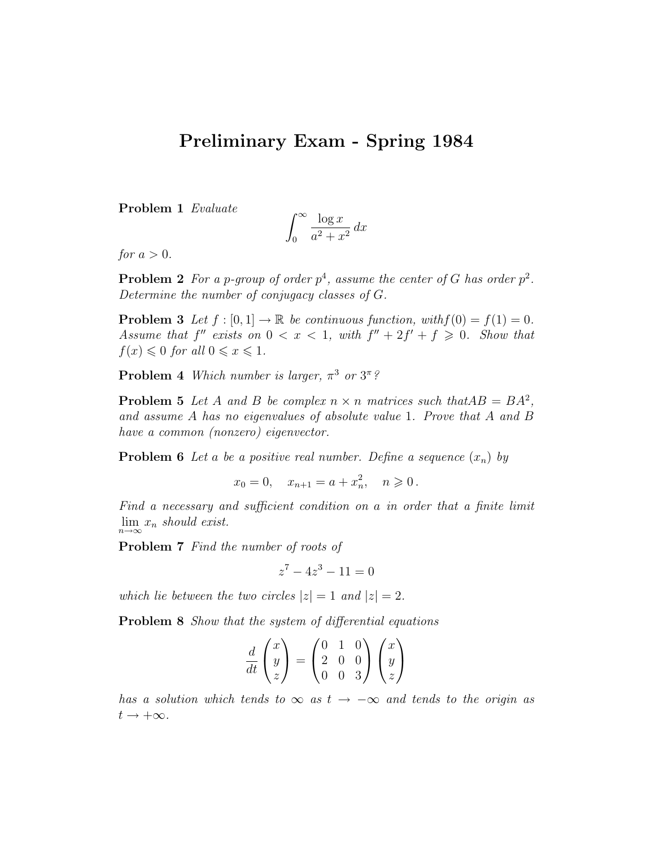## Preliminary Exam - Spring 1984

Problem 1 Evaluate

$$
\int_0^\infty \frac{\log x}{a^2 + x^2} \, dx
$$

for  $a > 0$ .

**Problem 2** For a p-group of order  $p^4$ , assume the center of G has order  $p^2$ . Determine the number of conjugacy classes of G.

**Problem 3** Let  $f : [0, 1] \to \mathbb{R}$  be continuous function, with  $f(0) = f(1) = 0$ . Assume that  $f''$  exists on  $0 < x < 1$ , with  $f'' + 2f' + f \ge 0$ . Show that  $f(x) \leq 0$  for all  $0 \leq x \leq 1$ .

**Problem 4** Which number is larger,  $\pi^3$  or  $3^{\pi}$ ?

**Problem 5** Let A and B be complex  $n \times n$  matrices such that  $AB = BA^2$ , and assume A has no eigenvalues of absolute value 1. Prove that A and B have a common (nonzero) eigenvector.

**Problem 6** Let a be a positive real number. Define a sequence  $(x_n)$  by

$$
x_0 = 0
$$
,  $x_{n+1} = a + x_n^2$ ,  $n \ge 0$ .

Find a necessary and sufficient condition on a in order that a finite limit  $\lim_{n\to\infty}x_n$  should exist.

Problem 7 Find the number of roots of

$$
z^7 - 4z^3 - 11 = 0
$$

which lie between the two circles  $|z| = 1$  and  $|z| = 2$ .

Problem 8 Show that the system of differential equations

$$
\frac{d}{dt}\begin{pmatrix}x\\y\\z\end{pmatrix} = \begin{pmatrix}0&1&0\\2&0&0\\0&0&3\end{pmatrix}\begin{pmatrix}x\\y\\z\end{pmatrix}
$$

has a solution which tends to  $\infty$  as  $t \to -\infty$  and tends to the origin as  $t \rightarrow +\infty$ .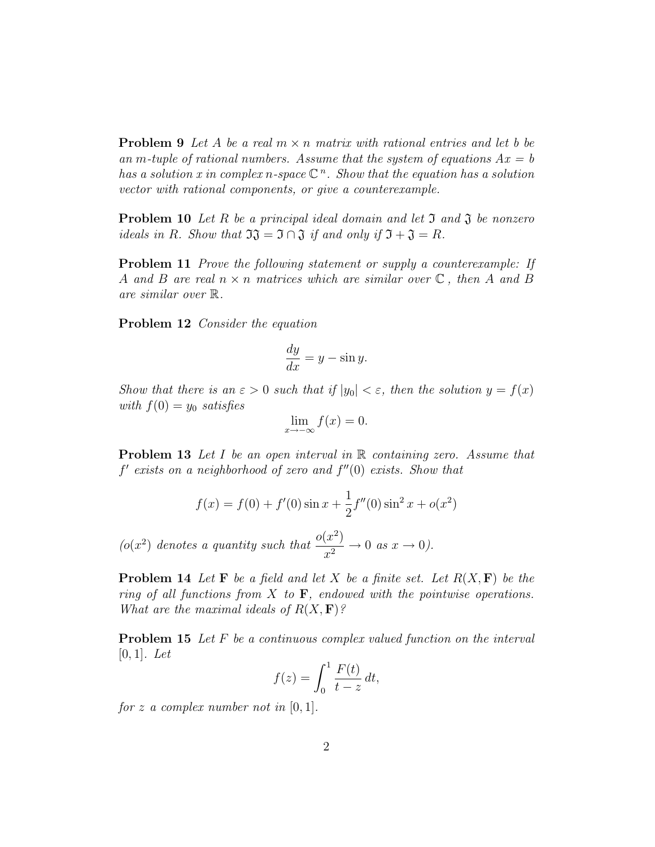**Problem 9** Let A be a real  $m \times n$  matrix with rational entries and let b be an m-tuple of rational numbers. Assume that the system of equations  $Ax = b$ has a solution x in complex n-space  $\mathbb{C}^n$ . Show that the equation has a solution vector with rational components, or give a counterexample.

**Problem 10** Let R be a principal ideal domain and let  $\mathfrak{I}$  and  $\mathfrak{J}$  be nonzero ideals in R. Show that  $\mathfrak{I} \mathfrak{J} = \mathfrak{I} \cap \mathfrak{J}$  if and only if  $\mathfrak{I} + \mathfrak{J} = R$ .

Problem 11 Prove the following statement or supply a counterexample: If A and B are real  $n \times n$  matrices which are similar over  $\mathbb C$ , then A and B are similar over R.

Problem 12 Consider the equation

$$
\frac{dy}{dx} = y - \sin y.
$$

Show that there is an  $\varepsilon > 0$  such that if  $|y_0| < \varepsilon$ , then the solution  $y = f(x)$ with  $f(0) = y_0$  satisfies

$$
\lim_{x \to -\infty} f(x) = 0.
$$

**Problem 13** Let I be an open interval in  $\mathbb{R}$  containing zero. Assume that  $f'$  exists on a neighborhood of zero and  $f''(0)$  exists. Show that

$$
f(x) = f(0) + f'(0)\sin x + \frac{1}{2}f''(0)\sin^2 x + o(x^2)
$$

( $o(x^2)$  denotes a quantity such that  $\frac{o(x^2)}{2}$  $\frac{x^{2}}{x^{2}} \rightarrow 0$  as  $x \rightarrow 0$ ).

**Problem 14** Let **F** be a field and let X be a finite set. Let  $R(X, \mathbf{F})$  be the ring of all functions from X to  $\mathbf{F}$ , endowed with the pointwise operations. What are the maximal ideals of  $R(X, F)$ ?

Problem 15 Let F be a continuous complex valued function on the interval  $[0, 1]$ . Let

$$
f(z) = \int_0^1 \frac{F(t)}{t - z} dt,
$$

for z a complex number not in  $[0, 1]$ .